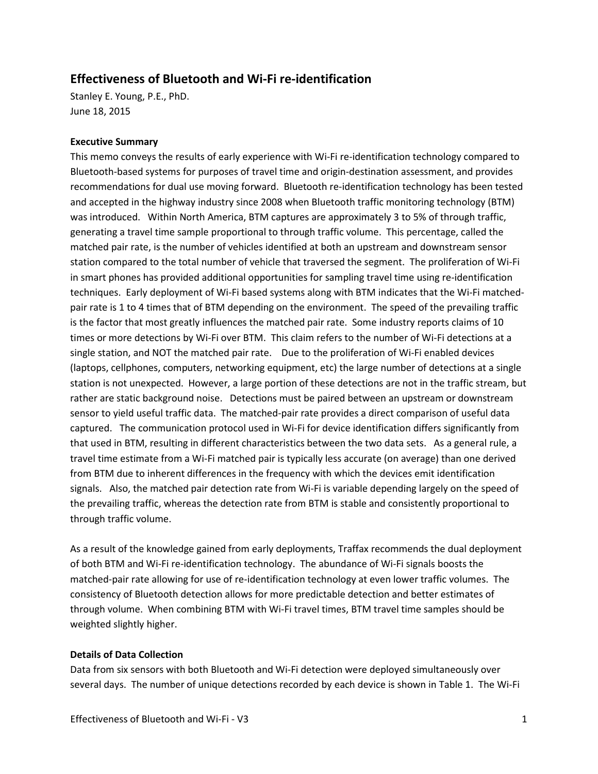## **Effectiveness of Bluetooth and Wi-Fi re-identification**

Stanley E. Young, P.E., PhD. June 18, 2015

## **Executive Summary**

This memo conveys the results of early experience with Wi-Fi re-identification technology compared to Bluetooth-based systems for purposes of travel time and origin-destination assessment, and provides recommendations for dual use moving forward. Bluetooth re-identification technology has been tested and accepted in the highway industry since 2008 when Bluetooth traffic monitoring technology (BTM) was introduced. Within North America, BTM captures are approximately 3 to 5% of through traffic, generating a travel time sample proportional to through traffic volume. This percentage, called the matched pair rate, is the number of vehicles identified at both an upstream and downstream sensor station compared to the total number of vehicle that traversed the segment. The proliferation of Wi-Fi in smart phones has provided additional opportunities for sampling travel time using re-identification techniques. Early deployment of Wi-Fi based systems along with BTM indicates that the Wi-Fi matchedpair rate is 1 to 4 times that of BTM depending on the environment. The speed of the prevailing traffic is the factor that most greatly influences the matched pair rate. Some industry reports claims of 10 times or more detections by Wi-Fi over BTM. This claim refers to the number of Wi-Fi detections at a single station, and NOT the matched pair rate. Due to the proliferation of Wi-Fi enabled devices (laptops, cellphones, computers, networking equipment, etc) the large number of detections at a single station is not unexpected. However, a large portion of these detections are not in the traffic stream, but rather are static background noise. Detections must be paired between an upstream or downstream sensor to yield useful traffic data. The matched-pair rate provides a direct comparison of useful data captured. The communication protocol used in Wi-Fi for device identification differs significantly from that used in BTM, resulting in different characteristics between the two data sets. As a general rule, a travel time estimate from a Wi-Fi matched pair is typically less accurate (on average) than one derived from BTM due to inherent differences in the frequency with which the devices emit identification signals. Also, the matched pair detection rate from Wi-Fi is variable depending largely on the speed of the prevailing traffic, whereas the detection rate from BTM is stable and consistently proportional to through traffic volume.

As a result of the knowledge gained from early deployments, Traffax recommends the dual deployment of both BTM and Wi-Fi re-identification technology. The abundance of Wi-Fi signals boosts the matched-pair rate allowing for use of re-identification technology at even lower traffic volumes. The consistency of Bluetooth detection allows for more predictable detection and better estimates of through volume. When combining BTM with Wi-Fi travel times, BTM travel time samples should be weighted slightly higher.

## **Details of Data Collection**

Data from six sensors with both Bluetooth and Wi-Fi detection were deployed simultaneously over several days. The number of unique detections recorded by each device is shown in Table 1. The Wi-Fi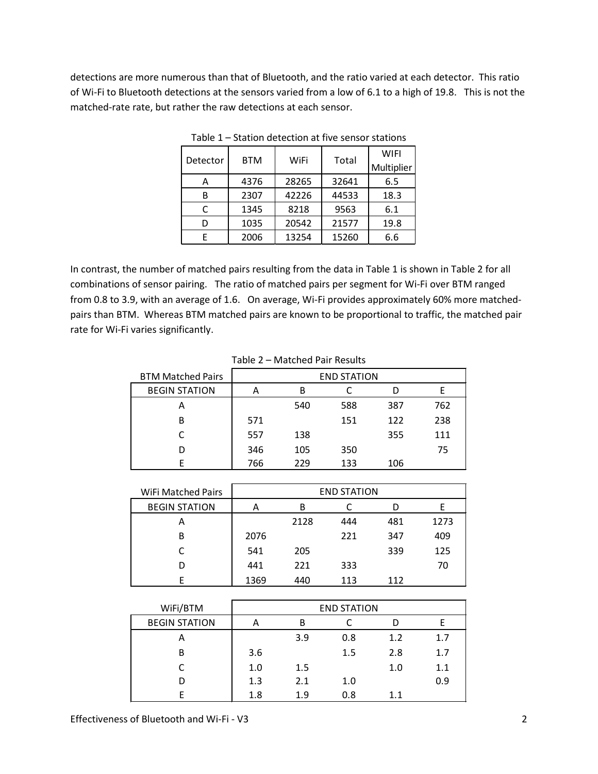detections are more numerous than that of Bluetooth, and the ratio varied at each detector. This ratio of Wi-Fi to Bluetooth detections at the sensors varied from a low of 6.1 to a high of 19.8. This is not the matched-rate rate, but rather the raw detections at each sensor.

| Detector | <b>BTM</b> |       |       | <b>WIFI</b> |
|----------|------------|-------|-------|-------------|
|          |            | WiFi  | Total | Multiplier  |
| А        | 4376       | 28265 | 32641 | 6.5         |
| В        | 2307       | 42226 | 44533 | 18.3        |
| C        | 1345       | 8218  | 9563  | 6.1         |
| D        | 1035       | 20542 | 21577 | 19.8        |
| F        | 2006       | 13254 | 15260 | 6.6         |

Table 1 – Station detection at five sensor stations

In contrast, the number of matched pairs resulting from the data in Table 1 is shown in Table 2 for all combinations of sensor pairing. The ratio of matched pairs per segment for Wi-Fi over BTM ranged from 0.8 to 3.9, with an average of 1.6. On average, Wi-Fi provides approximately 60% more matchedpairs than BTM. Whereas BTM matched pairs are known to be proportional to traffic, the matched pair rate for Wi-Fi varies significantly.

| .                        |     |     |                    |     |     |  |
|--------------------------|-----|-----|--------------------|-----|-----|--|
| <b>BTM Matched Pairs</b> |     |     | <b>END STATION</b> |     |     |  |
| <b>BEGIN STATION</b>     |     | В   |                    |     |     |  |
| А                        |     | 540 | 588                | 387 | 762 |  |
| В                        | 571 |     | 151                | 122 | 238 |  |
|                          | 557 | 138 |                    | 355 | 111 |  |
| D                        | 346 | 105 | 350                |     | 75  |  |
|                          | 766 | 229 | 133                | 106 |     |  |

| Table 2 - Matched Pair Results |
|--------------------------------|
|--------------------------------|

| WiFi Matched Pairs   | <b>END STATION</b> |      |     |     |      |
|----------------------|--------------------|------|-----|-----|------|
| <b>BEGIN STATION</b> | А                  | В    |     |     |      |
| А                    |                    | 2128 | 444 | 481 | 1273 |
| В                    | 2076               |      | 221 | 347 | 409  |
|                      | 541                | 205  |     | 339 | 125  |
| D                    | 441                | 221  | 333 |     | 70   |
|                      | 1369               | 440  | 113 | 112 |      |

| WiFi/BTM             | <b>END STATION</b> |         |     |     |     |
|----------------------|--------------------|---------|-----|-----|-----|
| <b>BEGIN STATION</b> | А                  | В       |     |     |     |
| А                    |                    | 3.9     | 0.8 | 1.2 | 1.7 |
| В                    | 3.6                |         | 1.5 | 2.8 | 1.7 |
|                      | 1.0                | $1.5\,$ |     | 1.0 | 1.1 |
| D                    | 1.3                | 2.1     | 1.0 |     | 0.9 |
|                      | 1.8                | 1.9     | 0.8 | 1.1 |     |